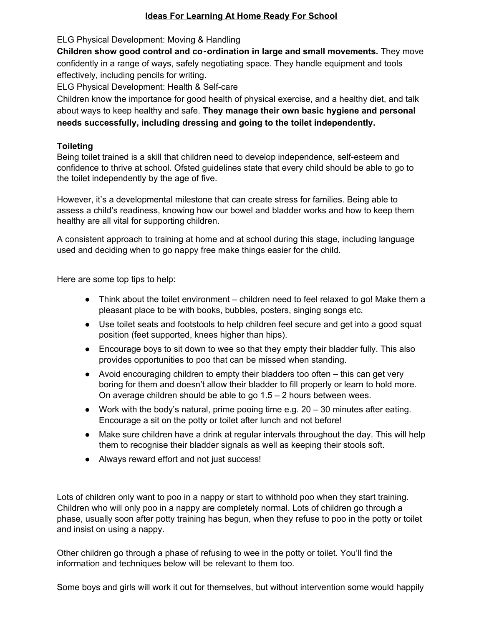## **Ideas For Learning At Home Ready For School**

ELG Physical Development: Moving & Handling

**Children show good control and co**‑**ordination in large and small movements.** They move confidently in a range of ways, safely negotiating space. They handle equipment and tools effectively, including pencils for writing.

ELG Physical Development: Health & Self-care

Children know the importance for good health of physical exercise, and a healthy diet, and talk about ways to keep healthy and safe. **They manage their own basic hygiene and personal needs successfully, including dressing and going to the toilet independently.**

# **Toileting**

Being toilet trained is a skill that children need to develop independence, self-esteem and confidence to thrive at school. Ofsted guidelines state that every child should be able to go to the toilet independently by the age of five.

However, it's a developmental milestone that can create stress for families. Being able to assess a child's readiness, knowing how our bowel and bladder works and how to keep them healthy are all vital for supporting children.

A consistent approach to training at home and at school during this stage, including language used and deciding when to go nappy free make things easier for the child.

Here are some top tips to help:

- $\bullet$  Think about the toilet environment children need to feel relaxed to go! Make them a pleasant place to be with books, bubbles, posters, singing songs etc.
- Use toilet seats and footstools to help children feel secure and get into a good squat position (feet supported, knees higher than hips).
- Encourage boys to sit down to wee so that they empty their bladder fully. This also provides opportunities to poo that can be missed when standing.
- Avoid encouraging children to empty their bladders too often this can get very boring for them and doesn't allow their bladder to fill properly or learn to hold more. On average children should be able to go 1.5 – 2 hours between wees.
- $\bullet$  Work with the body's natural, prime pooing time e.g. 20 30 minutes after eating. Encourage a sit on the potty or toilet after lunch and not before!
- Make sure children have a drink at regular intervals throughout the day. This will help them to recognise their bladder signals as well as keeping their stools soft.
- Always reward effort and not just success!

Lots of children only want to poo in a nappy or start to withhold poo when they start training. Children who will only poo in a nappy are completely normal. Lots of children go through a phase, usually soon after potty training has begun, when they refuse to poo in the potty or toilet and insist on using a nappy.

Other children go through a phase of refusing to wee in the potty or toilet. You'll find the information and techniques below will be relevant to them too.

Some boys and girls will work it out for themselves, but without intervention some would happily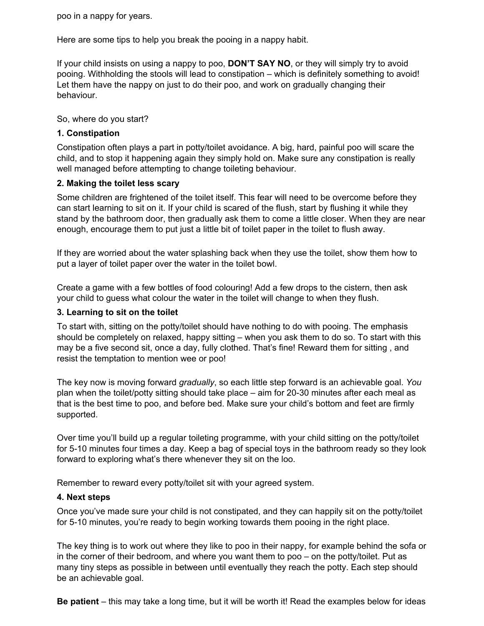poo in a nappy for years.

Here are some tips to help you break the pooing in a nappy habit.

If your child insists on using a nappy to poo, **DON'T SAY NO**, or they will simply try to avoid pooing. Withholding the stools will lead to constipation – which is definitely something to avoid! Let them have the nappy on just to do their poo, and work on gradually changing their behaviour.

So, where do you start?

## **1. Constipation**

Constipation often plays a part in potty/toilet avoidance. A big, hard, painful poo will scare the child, and to stop it happening again they simply hold on. Make sure any constipation is really well managed before attempting to change toileting behaviour.

## **2. Making the toilet less scary**

Some children are frightened of the toilet itself. This fear will need to be overcome before they can start learning to sit on it. If your child is scared of the flush, start by flushing it while they stand by the bathroom door, then gradually ask them to come a little closer. When they are near enough, encourage them to put just a little bit of toilet paper in the toilet to flush away.

If they are worried about the water splashing back when they use the toilet, show them how to put a layer of toilet paper over the water in the toilet bowl.

Create a game with a few bottles of food colouring! Add a few drops to the cistern, then ask your child to guess what colour the water in the toilet will change to when they flush.

#### **3. Learning to sit on the toilet**

To start with, sitting on the potty/toilet should have nothing to do with pooing. The emphasis should be completely on relaxed, happy sitting – when you ask them to do so. To start with this may be a five second sit, once a day, fully clothed. That's fine! Reward them for sitting , and resist the temptation to mention wee or poo!

The key now is moving forward *gradually*, so each little step forward is an achievable goal. *You* plan when the toilet/potty sitting should take place – aim for 20-30 minutes after each meal as that is the best time to poo, and before bed. Make sure your child's bottom and feet are firmly supported.

Over time you'll build up a regular toileting programme, with your child sitting on the potty/toilet for 5-10 minutes four times a day. Keep a bag of special toys in the bathroom ready so they look forward to exploring what's there whenever they sit on the loo.

Remember to reward every potty/toilet sit with your agreed system.

#### **4. Next steps**

Once you've made sure your child is not constipated, and they can happily sit on the potty/toilet for 5-10 minutes, you're ready to begin working towards them pooing in the right place.

The key thing is to work out where they like to poo in their nappy, for example behind the sofa or in the corner of their bedroom, and where you want them to poo – on the potty/toilet. Put as many tiny steps as possible in between until eventually they reach the potty. Each step should be an achievable goal.

**Be patient** – this may take a long time, but it will be worth it! Read the examples below for ideas